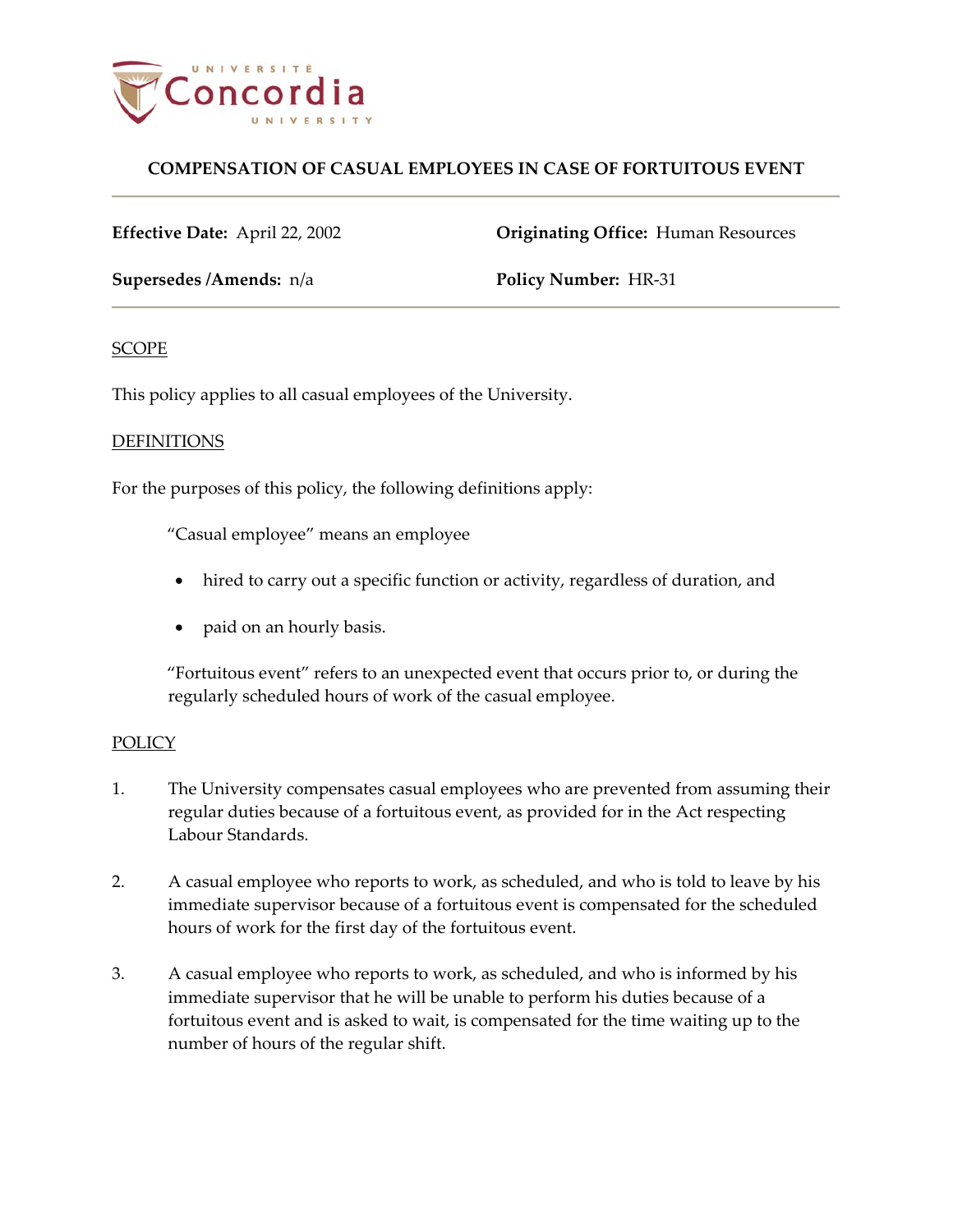

# **COMPENSATION OF CASUAL EMPLOYEES IN CASE OF FORTUITOUS EVENT**

**Effective Date:** April 22, 2002 **Originating Office:** Human Resources

**Supersedes /Amends:**  $n/a$  **Policy Number:** HR-31

## **SCOPE**

This policy applies to all casual employees of the University.

## DEFINITIONS

For the purposes of this policy, the following definitions apply:

"Casual employee" means an employee

- hired to carry out a specific function or activity, regardless of duration, and
- paid on an hourly basis.

"Fortuitous event" refers to an unexpected event that occurs prior to, or during the regularly scheduled hours of work of the casual employee.

## POLICY

- 1. The University compensates casual employees who are prevented from assuming their regular duties because of a fortuitous event, as provided for in the Act respecting Labour Standards.
- 2. A casual employee who reports to work, as scheduled, and who is told to leave by his immediate supervisor because of a fortuitous event is compensated for the scheduled hours of work for the first day of the fortuitous event.
- 3. A casual employee who reports to work, as scheduled, and who is informed by his immediate supervisor that he will be unable to perform his duties because of a fortuitous event and is asked to wait, is compensated for the time waiting up to the number of hours of the regular shift.